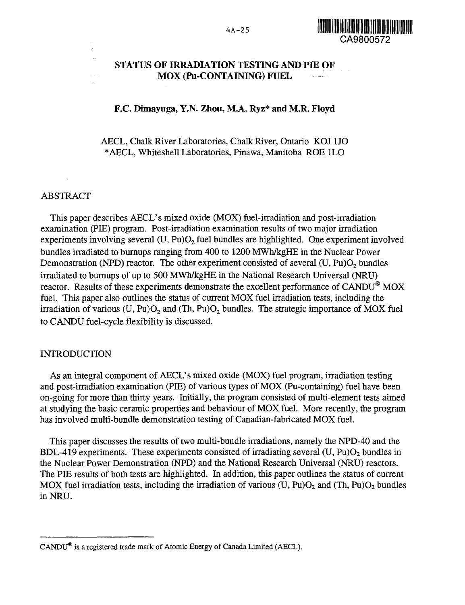

# **STATUS OF IRRADIATION TESTING AND PIE OF MOX (Pu-CONTAINING) FUEL -**

# **F.C. Dimayuga, Y.N. Zhou, M.A. Ryz\* and M.R. Floyd**

AECL, Chalk River Laboratories, Chalk River, Ontario KOJ 1JO \*AECL, Whiteshell Laboratories, Pinawa, Manitoba ROE 1LO

# ABSTRACT

This paper describes AECL's mixed oxide (MOX) fuel-irradiation and post-irradiation examination (PIE) program. Post-irradiation examination results of two major irradiation experiments involving several  $(U, Pu)O<sub>2</sub>$  fuel bundles are highlighted. One experiment involved bundles irradiated to burnups ranging from 400 to 1200 MWh/kgHE in the Nuclear Power Demonstration (NPD) reactor. The other experiment consisted of several  $(U, Pu)O<sub>2</sub>$  bundles irradiated to burnups of up to 500 MWh/kgHE in the National Research Universal (NRU) reactor. Results of these experiments demonstrate the excellent performance of CANDU<sup>®</sup> MOX fuel. This paper also outlines the status of current MOX fuel irradiation tests, including the irradiation of various (U, Pu) $O_2$  and (Th, Pu) $O_2$  bundles. The strategic importance of MOX fuel to CANDU fuel-cycle flexibility is discussed.

# INTRODUCTION

As an integral component of AECL's mixed oxide (MOX) fuel program, irradiation testing and post-irradiation examination (PIE) of various types of MOX (Pu-containing) fuel have been on-going for more than thirty years. Initially, the program consisted of multi-element tests aimed at studying the basic ceramic properties and behaviour of MOX fuel. More recently, the program has involved multi-bundle demonstration testing of Canadian-fabricated MOX fuel.

This paper discusses the results of two multi-bundle irradiations, namely the NPD-40 and the BDL-419 experiments. These experiments consisted of irradiating several  $(U, Pu)O<sub>2</sub>$  bundles in the Nuclear Power Demonstration (NPD) and the National Research Universal (NRU) reactors. The PIE results of both tests are highlighted. In addition, this paper outlines the status of current MOX fuel irradiation tests, including the irradiation of various (U, Pu) $O_2$  and (Th, Pu) $O_2$  bundles in NRU.

CANDU® is a registered trade mark of Atomic Energy of Canada Limited (AECL).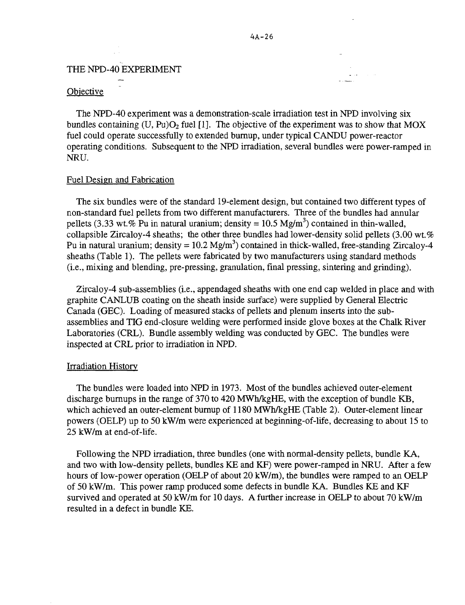# THE NPD-40 EXPERIMENT

### Objective

The NPD-40 experiment was a demonstration-scale irradiation test in NPD involving six bundles containing (U, Pu) $O_2$  fuel [1]. The objective of the experiment was to show that MOX fuel could operate successfully to extended burnup, under typical CANDU power-reactor operating conditions. Subsequent to the NPD irradiation, several bundles were power-ramped in NRU.

#### Fuel Design and Fabrication

The six bundles were of the standard 19-element design, but contained two different types of non-standard fuel pellets from two different manufacturers. Three of the bundles had annular pellets (3.33 wt.% Pu in natural uranium; density =  $10.5 \text{ Mg/m}^3$ ) contained in thin-walled, collapsible Zircaloy-4 sheaths; the other three bundles had lower-density solid pellets (3.00 wt.%) Pu in natural uranium; density =  $10.2 \text{ Mg/m}^3$ ) contained in thick-walled, free-standing Zircaloy-4 sheaths (Table 1). The pellets were fabricated by two manufacturers using standard methods (i.e., mixing and blending, pre-pressing, granulation, final pressing, sintering and grinding).

Zircaloy-4 sub-assemblies (i.e., appendaged sheaths with one end cap welded in place and with graphite CANLUB coating on the sheath inside surface) were supplied by General Electric Canada (GEC). Loading of measured stacks of pellets and plenum inserts into the subassemblies and TIG end-closure welding were performed inside glove boxes at the Chalk River Laboratories (CRL). Bundle assembly welding was conducted by GEC. The bundles were inspected at CRL prior to irradiation in NPD.

#### Irradiation History

The bundles were loaded into NPD in 1973. Most of the bundles achieved outer-element discharge burnups in the range of 370 to 420 MWh/kgHE, with the exception of bundle KB, which achieved an outer-element burnup of 1180 MWh/kgHE (Table 2). Outer-element linear powers (OELP) up to 50 kW/m were experienced at beginning-of-life, decreasing to about 15 to 25 kW/m at end-of-life.

Following the NPD irradiation, three bundles (one with normal-density pellets, bundle KA, and two with low-density pellets, bundles KE and KF) were power-ramped in NRU. After a few hours of low-power operation (OELP of about 20 kW/m), the bundles were ramped to an OELP of 50 kW/m. This power ramp produced some defects in bundle KA. Bundles KE and KF survived and operated at 50 kW/m for 10 days. A further increase in OELP to about 70 kW/m resulted in a defect in bundle KE.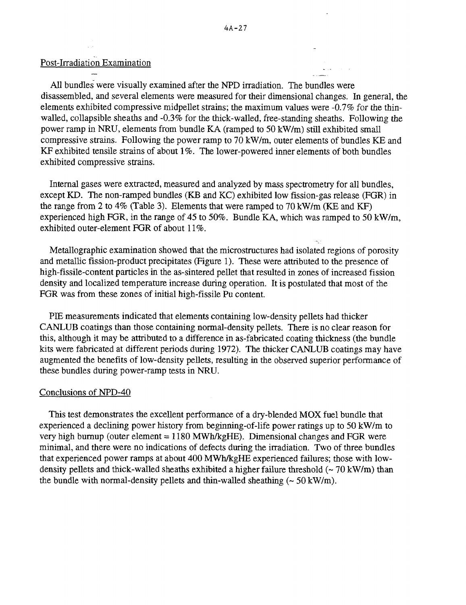$\sim$  10  $\sim$ 

# Post-Irradiation Examination

All bundles were visually examined after the NPD irradiation. The bundles were disassembled, and several elements were measured for their dimensional changes. In general, the elements exhibited compressive midpellet strains; the maximum values were -0.7% for the thinwalled, collapsible sheaths and  $-0.3\%$  for the thick-walled, free-standing sheaths. Following the power ramp in NRU, elements from bundle KA (ramped to 50 kW/m) still exhibited small compressive strains. Following the power ramp to 70 kW/m, outer elements of bundles KE and KF exhibited tensile strains of about 1%. The lower-powered inner elements of both bundles exhibited compressive strains.

Internal gases were extracted, measured and analyzed by mass spectrometry for all bundles, except KD. The non-ramped bundles (KB and KC) exhibited low fission-gas release (FGR) in the range from 2 to 4% (Table 3). Elements that were ramped to 70 kW/m (KE and KF) experienced high FGR, in the range of 45 to 50%. Bundle KA, which was ramped to 50 kW/m, exhibited outer-element FGR of about 11%.

Metallographic examination showed that the microstructures had isolated regions of porosity and metallic fission-product precipitates (Figure 1). These were attributed to the presence of high-fissile-content particles in the as-sintered pellet that resulted in zones of increased fission density and localized temperature increase during operation. It is postulated that most of the FGR was from these zones of initial high-fissile Pu content.

PIE measurements indicated that elements containing low-density pellets had thicker CANLUB coatings than those containing normal-density pellets. There is no clear reason for this, although it may be attributed to a difference in as-fabricated coating thickness (the bundle kits were fabricated at different periods during 1972). The thicker CANLUB coatings may have augmented the benefits of low-density pellets, resulting in the observed superior performance of these bundles during power-ramp tests in NRU.

#### Conclusions of NPD-40

This test demonstrates the excellent performance of a dry-blended MOX fuel bundle that experienced a declining power history from beginning-of-life power ratings up to 50 kW/m to very high burnup (outer element = 1180 MWh/kgHE). Dimensional changes and FGR were minimal, and there were no indications of defects during the irradiation. Two of three bundles that experienced power ramps at about 400 MWh/kgHE experienced failures; those with lowdensity pellets and thick-walled sheaths exhibited a higher failure threshold ( $\sim$  70 kW/m) than the bundle with normal-density pellets and thin-walled sheathing  $\sim$  50 kW/m).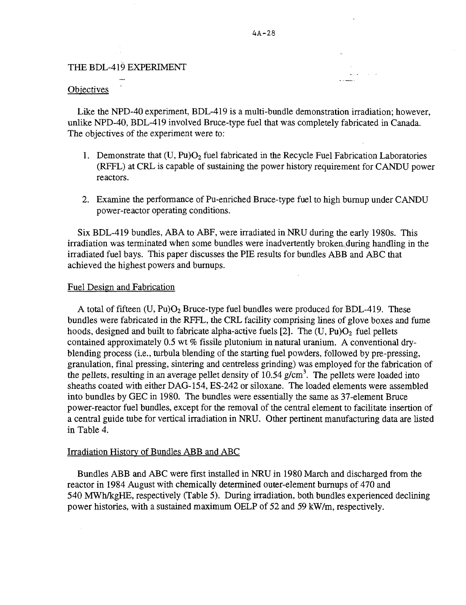### THE BDL-419 EXPERIMENT

#### **Objectives**

Like the NPD-40 experiment, BDL-419 is a multi-bundle demonstration irradiation; however, unlike NPD-40, BDL-419 involved Bruce-type fuel that was completely fabricated in Canada. The objectives of the experiment were to:

- 1. Demonstrate that  $(U, Pu)O<sub>2</sub>$  fuel fabricated in the Recycle Fuel Fabrication Laboratories (RFFL) at CRL is capable of sustaining the power history requirement for CANDU power reactors.
- 2. Examine the performance of Pu-enriched Bruce-type fuel to high burnup under CANDU power-reactor operating conditions.

Six BDL-419 bundles, ABA to ABF, were irradiated in NRU during the early 1980s. This irradiation was terminated when some bundles were inadvertently broken during handling in the irradiated fuel bays. This paper discusses the PIE results for bundles ABB and ABC that achieved the highest powers and burnups.

#### Fuel Design and Fabrication

A total of fifteen  $(U, Pu)O<sub>2</sub>$  Bruce-type fuel bundles were produced for BDL-419. These bundles were fabricated in the RFFL, the CRL facility comprising lines of glove boxes and fume hoods, designed and built to fabricate alpha-active fuels [2]. The  $(U, Pu)O<sub>2</sub>$  fuel pellets contained approximately 0.5 wt % fissile plutonium in natural uranium. A conventional dryblending process (i.e., turbula blending of the starting fuel powders, followed by pre-pressing, granulation, final pressing, sintering and centreless grinding) was employed for the fabrication of the pellets, resulting in an average pellet density of  $10.54$  g/cm<sup>3</sup>. The pellets were loaded into sheaths coated with either DAG-154, ES-242 or siloxane. The loaded elements were assembled into bundles by GEC in 1980. The bundles were essentially the same as 37-element Bruce power-reactor fuel bundles, except for the removal of the central element to facilitate insertion of a central guide tube for vertical irradiation in NRU. Other pertinent manufacturing data are listed in Table 4.

#### Irradiation History of Bundles ABB and ABC

Bundles ABB and ABC were first installed in NRU in 1980 March and discharged from the reactor in 1984 August with chemically determined outer-element burnups of 470 and 540 MWh/kgHE, respectively (Table 5). During irradiation, both bundles experienced declining power histories, with a sustained maximum OELP of 52 and 59 kW/m, respectively.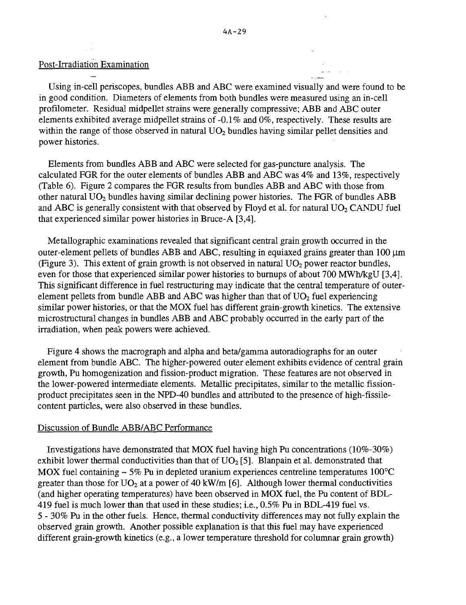### Post-Irradiation Examination

Using in-cell periscopes, bundles ABB and ABC were examined visually and were found to be in good condition. Diameters of elements from both bundles were measured using an in-cell profilometer. Residual midpellet strains were generally compressive; ABB and ABC outer elements exhibited average midpellet strains of -0.1% and 0%, respectively. These results are within the range of those observed in natural  $UO<sub>2</sub>$  bundles having similar pellet densities and power histories.

Elements from bundles ABB and ABC were selected for gas-puncture analysis. The calculated FGR for the outer elements of bundles ABB and ABC was 4% and 13%, respectively (Table 6). Figure 2 compares the FGR results from bundles ABB and ABC with those from other natural  $UO<sub>2</sub>$  bundles having similar declining power histories. The FGR of bundles ABB and ABC is generally consistent with that observed by Floyd et al. for natural  $UO<sub>2</sub>$  CANDU fuel that experienced similar power histories in Bruce-A [3,4].

Metallographic examinations revealed that significant central grain growth occurred in the outer-element pellets of bundles ABB and ABC, resulting in equiaxed grains greater than 100  $\mu$ m (Figure 3). This extent of grain growth is not observed in natural  $UO<sub>2</sub>$  power reactor bundles, even for those that experienced similar power histories to burnups of about 700 MWh/kgU [3,4]. This significant difference in fuel restructuring may indicate that the central temperature of outerelement pellets from bundle ABB and ABC was higher than that of  $UO<sub>2</sub>$  fuel experiencing similar power histories, or that the MOX fuel has different grain-growth kinetics. The extensive microstructural changes in bundles ABB and ABC probably occurred in the early part of the irradiation, when peak powers were achieved.

Figure 4 shows the macrograph and alpha and beta/gamma autoradiographs for an outer element from bundle ABC. The higher-powered outer element exhibits evidence of central grain growth, Pu homogenization and fission-product migration. These features are not observed in the lower-powered intermediate elements. Metallic precipitates, similar to the metallic fissionproduct precipitates seen in the NPD-40 bundles and attributed to the presence of high-fissilecontent particles, were also observed in these bundles.

#### Discussion of Bundle ABB/ABC Performance

Investigations have demonstrated that MOX fuel having high Pu concentrations (10%-30%) exhibit lower thermal conductivities than that of  $UO<sub>2</sub>$  [5]. Blanpain et al. demonstrated that MOX fuel containing  $\sim$  5% Pu in depleted uranium experiences centreline temperatures 100 $^{\circ}$ C greater than those for  $UO<sub>2</sub>$  at a power of 40 kW/m [6]. Although lower thermal conductivities (and higher operating temperatures) have been observed in MOX fuel, the Pu content of BDL-419 fuel is much lower than that used in these studies; i.e., 0.5% Pu in BDL-419 fuel vs. 5 - 30% Pu in the other fuels. Hence, thermal conductivity differences may not fully explain the observed grain growth. Another possible explanation is that this fuel may have experienced different grain-growth kinetics (e.g., a lower temperature threshold for columnar grain growth)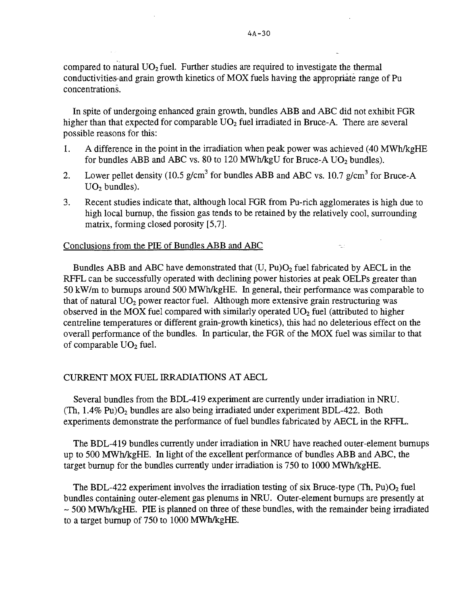compared to natural  $UO<sub>2</sub>$  fuel. Further studies are required to investigate the thermal conductivities-and grain growth kinetics of MOX fuels having the appropriate range of Pu concentrations.

In spite of undergoing enhanced grain growth, bundles ABB and ABC did not exhibit FGR higher than that expected for comparable  $UO<sub>2</sub>$  fuel irradiated in Bruce-A. There are several possible reasons for this:

- 1. A difference in the point in the irradiation when peak power was achieved (40 MWh/kgHE for bundles ABB and ABC vs.  $80$  to 120 MWh/kgU for Bruce-A UO<sub>2</sub> bundles).
- 2. Lower pellet density (10.5 g/cm<sup>3</sup> for bundles ABB and ABC vs. 10.7 g/cm<sup>3</sup> for Bruce-A  $UO<sub>2</sub>$  bundles).
- 3. Recent studies indicate that, although local FGR from Pu-rich agglomerates is high due to high local burnup, the fission gas tends to be retained by the relatively cool, surrounding matrix, forming closed porosity [5,7].

÷.

### Conclusions from the PIE of Bundles ABB and ABC

Bundles ABB and ABC have demonstrated that  $(U, Pu)O<sub>2</sub>$  fuel fabricated by AECL in the RFFL can be successfully operated with declining power histories at peak OELPs greater than 50 kW/m to burnups around 500 MWh/kgHE. In general, their performance was comparable to that of natural  $UO<sub>2</sub>$  power reactor fuel. Although more extensive grain restructuring was observed in the MOX fuel compared with similarly operated  $UO<sub>2</sub>$  fuel (attributed to higher centreline temperatures or different grain-growth kinetics), this had no deleterious effect on the overall performance of the bundles. In particular, the FGR of the MOX fuel was similar to that of comparable  $UO<sub>2</sub>$  fuel.

# CURRENT MOX FUEL IRRADIATIONS AT AECL

Several bundles from the BDL-419 experiment are currently under irradiation in NRU.  $(Th, 1.4\% \text{ Pu})O_2$  bundles are also being irradiated under experiment BDL-422. Both experiments demonstrate the performance of fuel bundles fabricated by AECL in the RFFL.

The BDL-419 bundles currently under irradiation in NRU have reached outer-element burnups up to 500 MWh/kgHE. In light of the excellent performance of bundles ABB and ABC, the target burnup for the bundles currently under irradiation is 750 to 1000 MWh/kgHE.

The BDL-422 experiment involves the irradiation testing of six Bruce-type (Th, Pu) $O<sub>2</sub>$  fuel bundles containing outer-element gas plenums in NRU. Outer-element burnups are presently at  $\sim$  500 MWh/kgHE. PIE is planned on three of these bundles, with the remainder being irradiated to a target burnup of 750 to 1000 MWh/kgHE.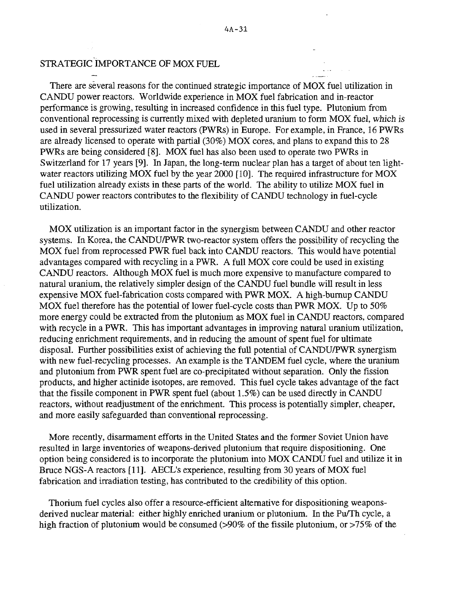$\sim$  100

# STRATEGIC IMPORTANCE OF MOX FUEL

There are several reasons for the continued strategic importance of MOX fuel utilization in CANDU power reactors. Worldwide experience in MOX fuel fabrication and in-reactor performance is growing, resulting in increased confidence in this fuel type. Plutonium from conventional reprocessing is currently mixed with depleted uranium to form MOX fuel, which is used in several pressurized water reactors (PWRs) in Europe. For example, in France, 16 PWRs are already licensed to operate with partial (30%) MOX cores, and plans to expand this to 28 PWRs are being considered [8]. MOX fuel has also been used to operate two PWRs in Switzerland for 17 years [9]. In Japan, the long-term nuclear plan has a target of about ten lightwater reactors utilizing MOX fuel by the year 2000 [10]. The required infrastructure for MOX fuel utilization already exists in these parts of the world. The ability to utilize MOX fuel in CANDU power reactors contributes to the flexibility of CANDU technology in fuel-cycle utilization.

MOX utilization is an important factor in the synergism between CANDU and other reactor systems. In Korea, the CANDU/PWR two-reactor system offers the possibility of recycling the MOX fuel from reprocessed PWR fuel back into CANDU reactors. This would have potential advantages compared with recycling in a PWR. A full MOX core could be used in existing CANDU reactors. Although MOX fuel is much more expensive to manufacture compared to natural uranium, the relatively simpler design of the CANDU fuel bundle will result in less expensive MOX fuel-fabrication costs compared with PWR MOX. A high-burnup CANDU MOX fuel therefore has the potential of lower fuel-cycle costs than PWR MOX. Up to 50% more energy could be extracted from the plutonium as MOX fuel in CANDU reactors, compared with recycle in a PWR. This has important advantages in improving natural uranium utilization, reducing enrichment requirements, and in reducing the amount of spent fuel for ultimate disposal. Further possibilities exist of achieving the full potential of CANDU/PWR synergism with new fuel-recycling processes. An example is the TANDEM fuel cycle, where the uranium and plutonium from PWR spent fuel are co-precipitated without separation. Only the fission products, and higher actinide isotopes, are removed. This fuel cycle takes advantage of the fact that the fissile component in PWR spent fuel (about 1.5%) can be used directly in CANDU reactors, without readjustment of the enrichment. This process is potentially simpler, cheaper, and more easily safeguarded than conventional reprocessing.

More recently, disarmament efforts in the United States and the former Soviet Union have resulted in large inventories of weapons-derived plutonium that require dispositioning. One option being considered is to incorporate the plutonium into MOX CANDU fuel and utilize it in Bruce NGS-A reactors [11]. AECL's experience, resulting from 30 years of MOX fuel fabrication and irradiation testing, has contributed to the credibility of this option.

Thorium fuel cycles also offer a resource-efficient alternative for dispositioning weaponsderived nuclear material: either highly enriched uranium or plutonium. In the Pu/Th cycle, a high fraction of plutonium would be consumed (>90% of the fissile plutonium, or >75% of the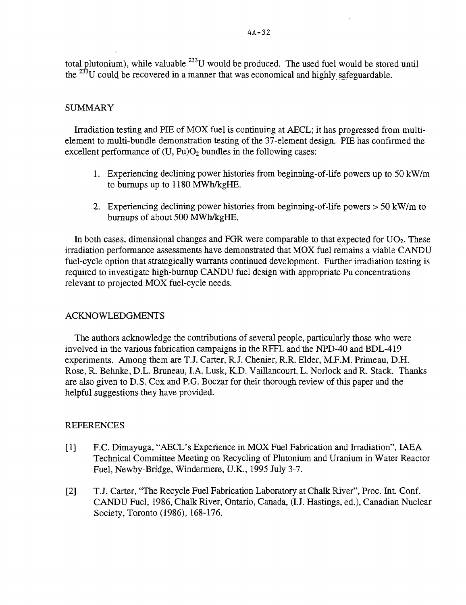total plutonium), while valuable <sup>233</sup>U would be produced. The used fuel would be stored until the <sup>233</sup>U could be recovered in a manner that was economical and highly safeguardable.

# SUMMARY

Irradiation testing and PIE of MOX fuel is continuing at AECL; it has progressed from multielement to multi-bundle demonstration testing of the 37-element design. PIE has confirmed the excellent performance of  $(U, Pu)O<sub>2</sub>$  bundles in the following cases:

- 1. Experiencing declining power histories from beginning-of-life powers up to 50 kW/m to burnups up to 1180 MWh/kgHE.
- 2. Experiencing declining power histories from beginning-of-life powers > 50 kW/m to burnups of about 500 MWh/kgHE.

In both cases, dimensional changes and FGR were comparable to that expected for  $UO<sub>2</sub>$ . These irradiation performance assessments have demonstrated that MOX fuel remains a viable CANDU fuel-cycle option that strategically warrants continued development. Further irradiation testing is required to investigate high-buraup CANDU fuel design with appropriate Pu concentrations relevant to projected MOX fuel-cycle needs.

### ACKNOWLEDGMENTS

The authors acknowledge the contributions of several people, particularly those who were involved in the various fabrication campaigns in the RFFL and the NPD-40 and BDL-419 experiments. Among them are T.J. Carter, R.J. Chenier, R.R. Elder, M.F.M. Primeau, D.H. Rose, R. Behnke, D.L. Bruneau, LA. Lusk, K.D. Vaillancourt, L. Norlock and R. Stack. Thanks are also given to D.S. Cox and P.G. Boczar for their thorough review of this paper and the helpful suggestions they have provided.

### REFERENCES

- [1] F.C. Dimayuga, "AECL's Experience in MOX Fuel Fabrication and Irradiation", IAEA Technical Committee Meeting on Recycling of Plutonium and Uranium in Water Reactor Fuel, Newby-Bridge, Windermere, U.K., 1995 July 3-7.
- [2] T.J. Carter, "The Recycle Fuel Fabrication Laboratory at Chalk River", Proc. Int. Conf. CANDU Fuel, 1986, Chalk River, Ontario, Canada, (I.J. Hastings, ed.), Canadian Nuclear Society, Toronto (1986), 168-176.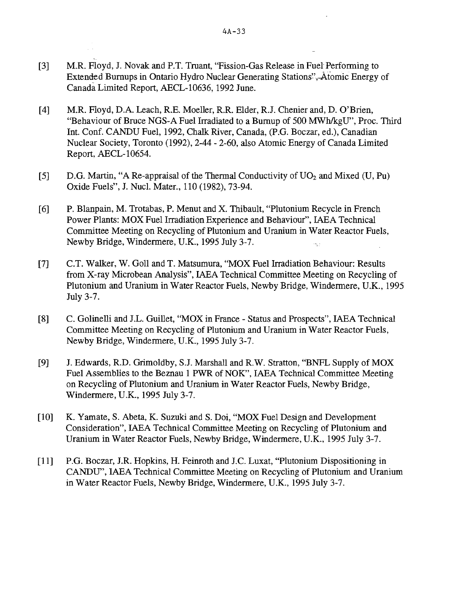- [3] M.R. Floyd, J. Novak and P.T. Truant, "Fission-Gas Release in Fuel Performing to Extended Burnups in Ontario Hydro Nuclear Generating Stations", Atomic Energy of Canada Limited Report, AECL-10636,1992 June.
- [4] M.R. Floyd, D.A. Leach, R.E. Moeller, R.R. Elder, R.J. Chenier and, D. O'Brien, "Behaviour of Bruce NGS-A Fuel Irradiated to a Burnup of 500 MWh/kgU", Proc. Third Int. Conf. CANDU Fuel, 1992, Chalk River, Canada, (P.G. Boczar, ed.), Canadian Nuclear Society, Toronto (1992), 2-44 - 2-60, also Atomic Energy of Canada Limited Report, AECL-10654.
- [5] D.G. Martin, "A Re-appraisal of the Thermal Conductivity of  $UO<sub>2</sub>$  and Mixed (U, Pu) Oxide Fuels", J. Nucl. Mater., 110 (1982), 73-94.
- [6] P. Blanpain, M. Trotabas, P. Menut and X. Thibault, "Plutonium Recycle in French Power Plants: MOX Fuel Irradiation Experience and Behaviour", IAEA Technical Committee Meeting on Recycling of Plutonium and Uranium in Water Reactor Fuels, Newby Bridge, Windermere, U.K., 1995 July 3-7. ia.
- [7] C.T. Walker, W. Goll and T. Matsumura, "MOX Fuel Irradiation Behaviour: Results from X-ray Microbean Analysis", IAEA Technical Committee Meeting on Recycling of Plutonium and Uranium in Water Reactor Fuels, Newby Bridge, Windermere, U.K., 1995 July 3-7.
- [8] C. Golinelli and J.L. Guillet, "MOX in France Status and Prospects", IAEA Technical Committee Meeting on Recycling of Plutonium and Uranium in Water Reactor Fuels, Newby Bridge, Windermere, U.K., 1995 July 3-7.
- [9] J. Edwards, R.D. Grimoldby, S.J. Marshall and R.W. Stratton, "BNFL Supply of MOX Fuel Assemblies to the Beznau 1 PWR of NOK", IAEA Technical Committee Meeting on Recycling of Plutonium and Uranium in Water Reactor Fuels, Newby Bridge, Windermere, U.K., 1995 July 3-7.
- [10] K. Yamate, S. Abeta, K. Suzuki and S. Doi, "MOX Fuel Design and Development Consideration", IAEA Technical Committee Meeting on Recycling of Plutonium and Uranium in Water Reactor Fuels, Newby Bridge, Windermere, U.K., 1995 July 3-7.
- [11] P.G. Boczar, J.R. Hopkins, H. Feinroth and J.C. Luxat, "Plutonium Dispositioning in CANDU", IAEA Technical Committee Meeting on Recycling of Plutonium and Uranium in Water Reactor Fuels, Newby Bridge, Windermere, U.K., 1995 July 3-7.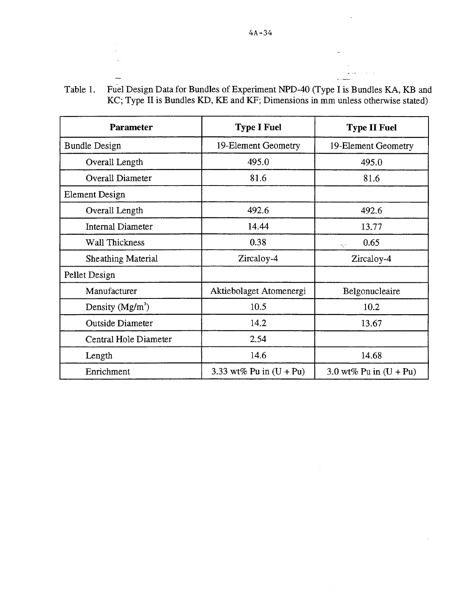Table 1. Fuel Design Data for Bundles of Experiment NPD-40 (Type I is Bundles KA, KB and KC; Type II is Bundles KD, KE and KF; Dimensions in mm unless otherwise stated)

in L

| <b>Parameter</b>         | <b>Type I Fuel</b>        | <b>Type II Fuel</b>      |  |
|--------------------------|---------------------------|--------------------------|--|
| <b>Bundle Design</b>     | 19-Element Geometry       | 19-Element Geometry      |  |
| Overall Length           | 495.0                     | 495.0                    |  |
| <b>Overall Diameter</b>  | 81.6                      | 81.6                     |  |
| <b>Element Design</b>    |                           |                          |  |
| Overall Length           | 492.6                     | 492.6                    |  |
| <b>Internal Diameter</b> | 14.44                     | 13.77                    |  |
| Wall Thickness           | 0.38                      | 0.65<br>$\sim$           |  |
| Sheathing Material       | Zircaloy-4                | Zircaloy-4               |  |
| Pellet Design            |                           |                          |  |
| Manufacturer             | Aktiebolaget Atomenergi   | Belgonucleaire           |  |
| Density $(Mg/m^3)$       | 10.5                      | 10.2                     |  |
| <b>Outside Diameter</b>  | 14.2                      | 13.67                    |  |
| Central Hole Diameter    | 2.54                      |                          |  |
| Length                   | 14.6                      | 14.68                    |  |
| Enrichment               | 3.33 wt% Pu in $(U + Pu)$ | 3.0 wt% Pu in $(U + Pu)$ |  |

L.

L,

 $\overline{a}$ 

 $\sim$ 

 $\bar{z}$ 

 $\alpha$ ing agus an airson.<br><del>Tall</del>aí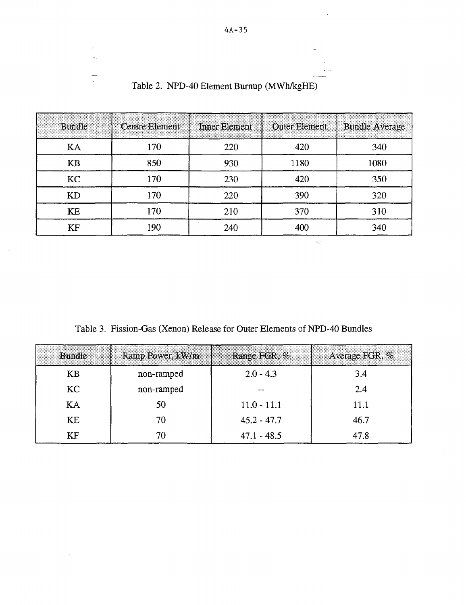| <b>Bundle</b> | <b>Centre Element</b> | Inner Element | <b>Outer Element</b> | <b>Bundle Average</b> |
|---------------|-----------------------|---------------|----------------------|-----------------------|
| KA            | 170                   | 220           | 420                  | 340                   |
| <b>KB</b>     | 850                   | 930           | 1180                 | 1080                  |
| KC            | 170                   | 230           | 420                  | 350                   |
| <b>KD</b>     | 170                   | 220           | 390                  | 320                   |
| KE            | 170                   | 210           | 370                  | 310                   |
| KF            | 190                   | 240           | 400                  | 340                   |
|               |                       |               | mit.                 |                       |

Table 2. NPD-40 Element Burnup (MWh/kgHE)

Ţ

 $\hat{\boldsymbol{\beta}}$ 

Table 3. Fission-Gas (Xenon) Release for Outer Elements of NPD-40 Bundles

| <b>Bundle</b> | Ramp Power, kW/m | Range FGR, %  | Average FGR, % |
|---------------|------------------|---------------|----------------|
| KB            | non-ramped       | $2.0 - 4.3$   | 3.4            |
| <b>KC</b>     | non-ramped       |               | 2.4            |
| KA            | 50               | $11.0 - 11.1$ | 11.1           |
| KE            | 70               | $45.2 - 47.7$ | 46.7           |
| KF            |                  | $47.1 - 48.5$ | 47.8           |

 $\ddot{\phantom{a}}$ 

 $\sim$   $\sim$ 

 $\sim$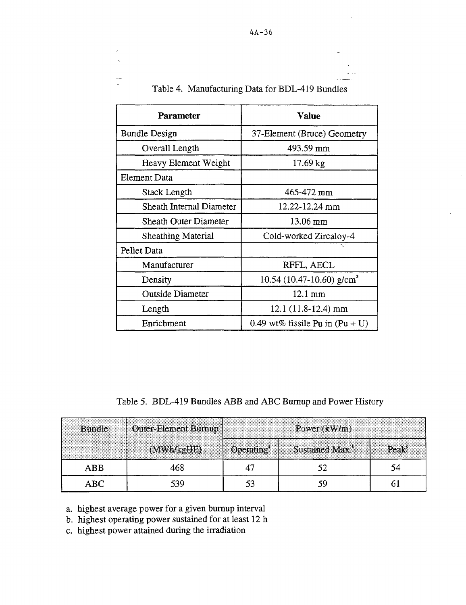| Parameter                       | Value                               |
|---------------------------------|-------------------------------------|
| <b>Bundle Design</b>            | 37-Element (Bruce) Geometry         |
| Overall Length                  | 493.59 mm                           |
| Heavy Element Weight            | $17.69 \text{ kg}$                  |
| Element Data                    |                                     |
| <b>Stack Length</b>             | 465-472 mm                          |
| <b>Sheath Internal Diameter</b> | 12.22-12.24 mm                      |
| Sheath Outer Diameter           | 13.06 mm                            |
| <b>Sheathing Material</b>       | Cold-worked Zircaloy-4              |
| Pellet Data                     |                                     |
| Manufacturer                    | RFFL, AECL                          |
| Density                         | 10.54 (10.47-10.60) $\text{g/cm}^3$ |
| <b>Outside Diameter</b>         | $12.1 \text{ mm}$                   |
| Length                          | $12.1$ (11.8-12.4) mm               |
| Enrichment                      | 0.49 wt% fissile Pu in $(Pu + U)$   |

Table 4. Manufacturing Data for BDL-419 Bundles

Table 5. BDL-419 Bundles ABB and ABC Burnup and Power History

| <b>Bundle</b> | Outer-Element Burnup    | Power $(kW/m)$         |                |      |
|---------------|-------------------------|------------------------|----------------|------|
|               | $(MWb$ / $k$ g $H$ $E)$ | Operating <sup>*</sup> | Sustained Max. | Peak |
| $_{\rm ABB}$  |                         |                        |                |      |
| ABC           |                         |                        |                |      |

a. highest average power for a given burnup interval

b. highest operating power sustained for at least 12 h

c. highest power attained during the irradiation

 $\mathcal{L}_\mathrm{c}$ 

<u>...</u>  $\mathcal{L}$   $\bar{z}$  $\overline{\phantom{a}}$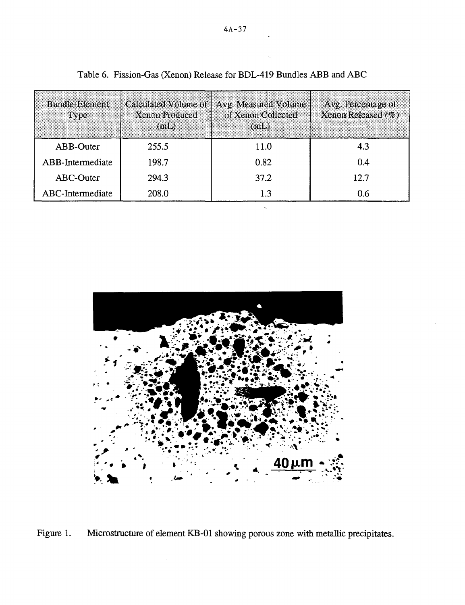| <b>Bundle-Element</b><br>Type | Calculated Volume of<br>Xenon Produced<br>(mL) | Avg. Measured Volume<br>of Xenon Collected<br>(mL) | Avg. Percentage of<br>Xenon Released $(\%)$ |
|-------------------------------|------------------------------------------------|----------------------------------------------------|---------------------------------------------|
| ABB-Outer                     | 255.5                                          | 11.0                                               | 4.3                                         |
| ABB-Intermediate              | 198.7                                          | 0.82                                               | 0.4                                         |
| ABC-Outer                     | 294.3                                          | 37.2                                               | 12.7                                        |
| ABC-Intermediate              | 208.0                                          | 1.3                                                | 0.6                                         |



Figure 1. Microstructure of element KB-01 showing porous zone with metallic precipitates.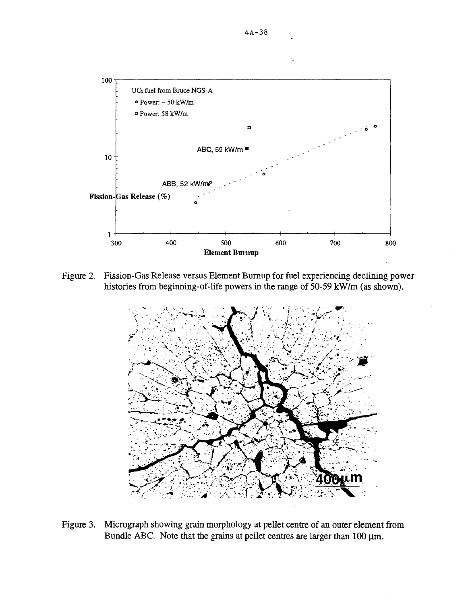

Figure 2. Fission-Gas Release versus Element Burnup for fuel experiencing declining power histories from beginning-of-life powers in the range of 50-59 kW/m (as shown).



Figure 3. Micrograph showing grain morphology at pellet centre of an outer element from Bundle ABC. Note that the grains at pellet centres are larger than 100  $\mu$ m.